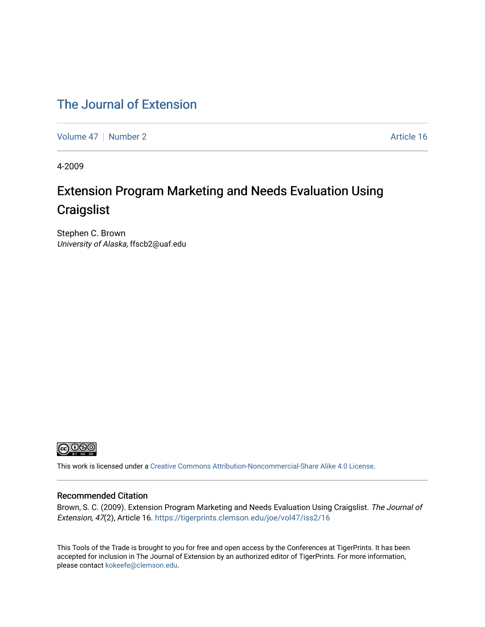#### [The Journal of Extension](https://tigerprints.clemson.edu/joe)

[Volume 47](https://tigerprints.clemson.edu/joe/vol47) | [Number 2](https://tigerprints.clemson.edu/joe/vol47/iss2) Article 16

4-2009

# Extension Program Marketing and Needs Evaluation Using **Craigslist**

Stephen C. Brown University of Alaska, ffscb2@uaf.edu



This work is licensed under a [Creative Commons Attribution-Noncommercial-Share Alike 4.0 License.](https://creativecommons.org/licenses/by-nc-sa/4.0/)

#### Recommended Citation

Brown, S. C. (2009). Extension Program Marketing and Needs Evaluation Using Craigslist. The Journal of Extension, 47(2), Article 16. <https://tigerprints.clemson.edu/joe/vol47/iss2/16>

This Tools of the Trade is brought to you for free and open access by the Conferences at TigerPrints. It has been accepted for inclusion in The Journal of Extension by an authorized editor of TigerPrints. For more information, please contact [kokeefe@clemson.edu](mailto:kokeefe@clemson.edu).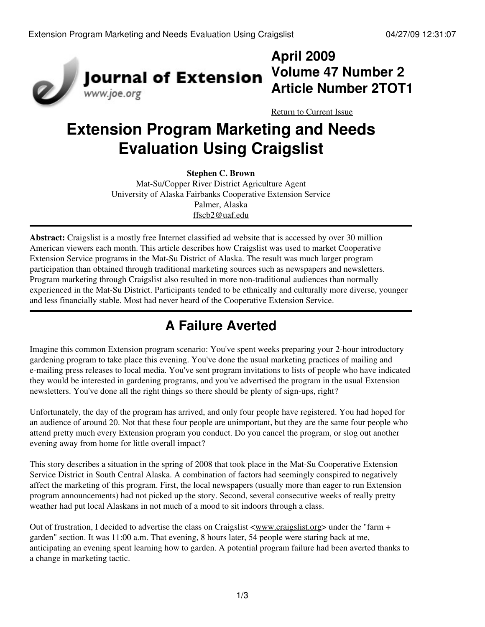

# **April 2009 Volume 47 Number 2 Article Number 2TOT1**

[Return to Current Issue](http://www.joe.org:80/joe/2009april/)

# **Extension Program Marketing and Needs Evaluation Using Craigslist**

**Stephen C. Brown**

Mat-Su/Copper River District Agriculture Agent University of Alaska Fairbanks Cooperative Extension Service Palmer, Alaska [ffscb2@uaf.edu](mailto:ffscb2@uaf.edu)

**Abstract:** Craigslist is a mostly free Internet classified ad website that is accessed by over 30 million American viewers each month. This article describes how Craigslist was used to market Cooperative Extension Service programs in the Mat-Su District of Alaska. The result was much larger program participation than obtained through traditional marketing sources such as newspapers and newsletters. Program marketing through Craigslist also resulted in more non-traditional audiences than normally experienced in the Mat-Su District. Participants tended to be ethnically and culturally more diverse, younger and less financially stable. Most had never heard of the Cooperative Extension Service.

# **A Failure Averted**

Imagine this common Extension program scenario: You've spent weeks preparing your 2-hour introductory gardening program to take place this evening. You've done the usual marketing practices of mailing and e-mailing press releases to local media. You've sent program invitations to lists of people who have indicated they would be interested in gardening programs, and you've advertised the program in the usual Extension newsletters. You've done all the right things so there should be plenty of sign-ups, right?

Unfortunately, the day of the program has arrived, and only four people have registered. You had hoped for an audience of around 20. Not that these four people are unimportant, but they are the same four people who attend pretty much every Extension program you conduct. Do you cancel the program, or slog out another evening away from home for little overall impact?

This story describes a situation in the spring of 2008 that took place in the Mat-Su Cooperative Extension Service District in South Central Alaska. A combination of factors had seemingly conspired to negatively affect the marketing of this program. First, the local newspapers (usually more than eager to run Extension program announcements) had not picked up the story. Second, several consecutive weeks of really pretty weather had put local Alaskans in not much of a mood to sit indoors through a class.

Out of frustration, I decided to advertise the class on Craigslist  $\langle www.craislist.org\rangle$  under the "farm + garden" section. It was 11:00 a.m. That evening, 8 hours later, 54 people were staring back at me, anticipating an evening spent learning how to garden. A potential program failure had been averted thanks to a change in marketing tactic.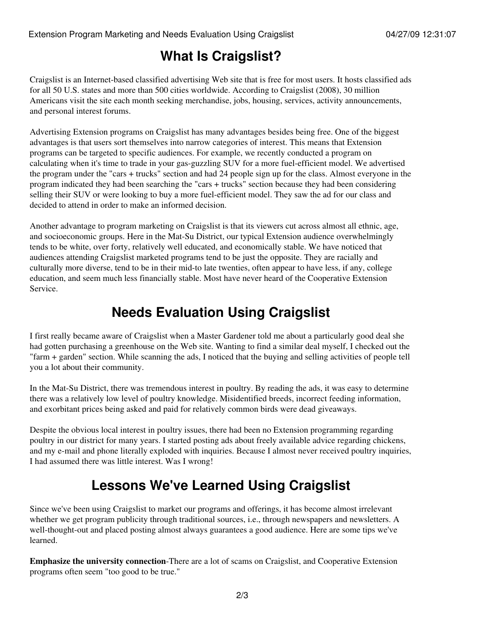# **What Is Craigslist?**

Craigslist is an Internet-based classified advertising Web site that is free for most users. It hosts classified ads for all 50 U.S. states and more than 500 cities worldwide. According to Craigslist (2008), 30 million Americans visit the site each month seeking merchandise, jobs, housing, services, activity announcements, and personal interest forums.

Advertising Extension programs on Craigslist has many advantages besides being free. One of the biggest advantages is that users sort themselves into narrow categories of interest. This means that Extension programs can be targeted to specific audiences. For example, we recently conducted a program on calculating when it's time to trade in your gas-guzzling SUV for a more fuel-efficient model. We advertised the program under the "cars + trucks" section and had 24 people sign up for the class. Almost everyone in the program indicated they had been searching the "cars + trucks" section because they had been considering selling their SUV or were looking to buy a more fuel-efficient model. They saw the ad for our class and decided to attend in order to make an informed decision.

Another advantage to program marketing on Craigslist is that its viewers cut across almost all ethnic, age, and socioeconomic groups. Here in the Mat-Su District, our typical Extension audience overwhelmingly tends to be white, over forty, relatively well educated, and economically stable. We have noticed that audiences attending Craigslist marketed programs tend to be just the opposite. They are racially and culturally more diverse, tend to be in their mid-to late twenties, often appear to have less, if any, college education, and seem much less financially stable. Most have never heard of the Cooperative Extension Service.

# **Needs Evaluation Using Craigslist**

I first really became aware of Craigslist when a Master Gardener told me about a particularly good deal she had gotten purchasing a greenhouse on the Web site. Wanting to find a similar deal myself, I checked out the "farm + garden" section. While scanning the ads, I noticed that the buying and selling activities of people tell you a lot about their community.

In the Mat-Su District, there was tremendous interest in poultry. By reading the ads, it was easy to determine there was a relatively low level of poultry knowledge. Misidentified breeds, incorrect feeding information, and exorbitant prices being asked and paid for relatively common birds were dead giveaways.

Despite the obvious local interest in poultry issues, there had been no Extension programming regarding poultry in our district for many years. I started posting ads about freely available advice regarding chickens, and my e-mail and phone literally exploded with inquiries. Because I almost never received poultry inquiries, I had assumed there was little interest. Was I wrong!

# **Lessons We've Learned Using Craigslist**

Since we've been using Craigslist to market our programs and offerings, it has become almost irrelevant whether we get program publicity through traditional sources, i.e., through newspapers and newsletters. A well-thought-out and placed posting almost always guarantees a good audience. Here are some tips we've learned.

**Emphasize the university connection**-There are a lot of scams on Craigslist, and Cooperative Extension programs often seem "too good to be true."